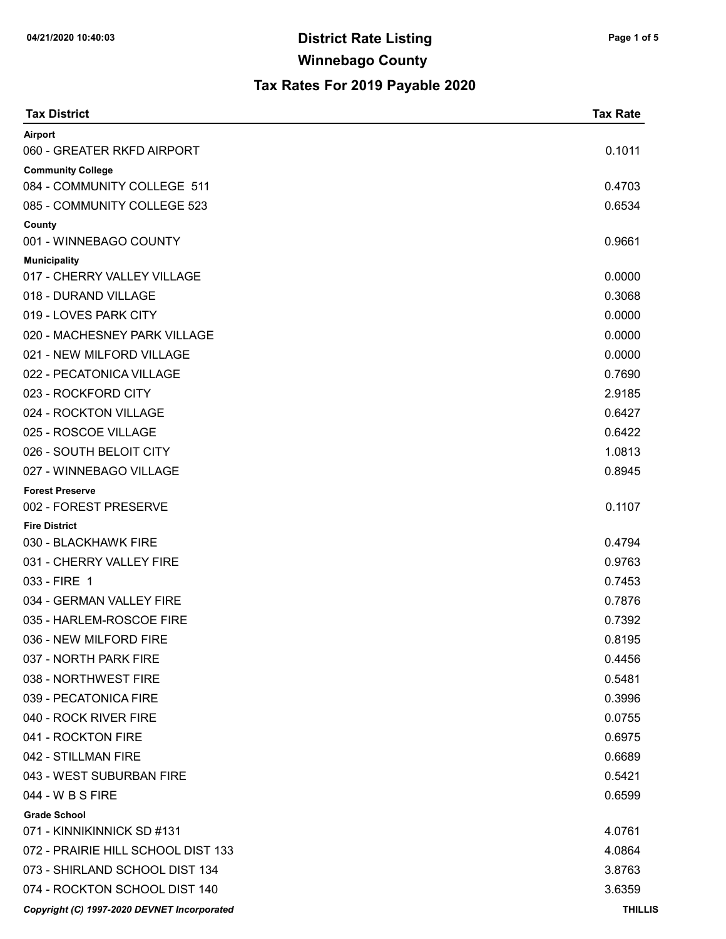| <b>Tax District</b>                         | <b>Tax Rate</b> |
|---------------------------------------------|-----------------|
| Airport                                     |                 |
| 060 - GREATER RKFD AIRPORT                  | 0.1011          |
| <b>Community College</b>                    |                 |
| 084 - COMMUNITY COLLEGE 511                 | 0.4703          |
| 085 - COMMUNITY COLLEGE 523                 | 0.6534          |
| County<br>001 - WINNEBAGO COUNTY            | 0.9661          |
| <b>Municipality</b>                         |                 |
| 017 - CHERRY VALLEY VILLAGE                 | 0.0000          |
| 018 - DURAND VILLAGE                        | 0.3068          |
| 019 - LOVES PARK CITY                       | 0.0000          |
| 020 - MACHESNEY PARK VILLAGE                | 0.0000          |
| 021 - NEW MILFORD VILLAGE                   | 0.0000          |
| 022 - PECATONICA VILLAGE                    | 0.7690          |
| 023 - ROCKFORD CITY                         | 2.9185          |
| 024 - ROCKTON VILLAGE                       | 0.6427          |
| 025 - ROSCOE VILLAGE                        | 0.6422          |
| 026 - SOUTH BELOIT CITY                     | 1.0813          |
| 027 - WINNEBAGO VILLAGE                     | 0.8945          |
| <b>Forest Preserve</b>                      |                 |
| 002 - FOREST PRESERVE                       | 0.1107          |
| <b>Fire District</b>                        |                 |
| 030 - BLACKHAWK FIRE                        | 0.4794          |
| 031 - CHERRY VALLEY FIRE                    | 0.9763          |
| 033 - FIRE 1                                | 0.7453          |
| 034 - GERMAN VALLEY FIRE                    | 0.7876          |
| 035 - HARLEM-ROSCOE FIRE                    | 0.7392          |
| 036 - NEW MILFORD FIRE                      | 0.8195          |
| 037 - NORTH PARK FIRE                       | 0.4456          |
| 038 - NORTHWEST FIRE                        | 0.5481          |
| 039 - PECATONICA FIRE                       | 0.3996          |
| 040 - ROCK RIVER FIRE                       | 0.0755          |
| 041 - ROCKTON FIRE                          | 0.6975          |
| 042 - STILLMAN FIRE                         | 0.6689          |
| 043 - WEST SUBURBAN FIRE                    | 0.5421          |
| 044 - W B S FIRE                            | 0.6599          |
| <b>Grade School</b>                         |                 |
| 071 - KINNIKINNICK SD #131                  | 4.0761          |
| 072 - PRAIRIE HILL SCHOOL DIST 133          | 4.0864          |
| 073 - SHIRLAND SCHOOL DIST 134              | 3.8763          |
| 074 - ROCKTON SCHOOL DIST 140               | 3.6359          |
| Copyright (C) 1997-2020 DEVNET Incorporated | <b>THILLIS</b>  |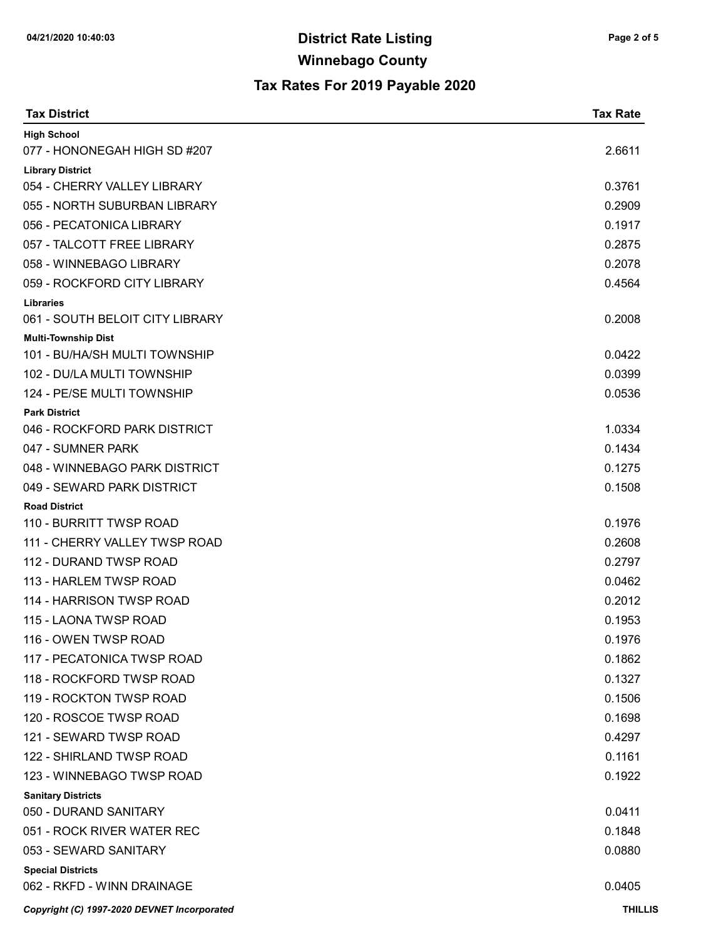| <b>Tax District</b>                                 | <b>Tax Rate</b> |
|-----------------------------------------------------|-----------------|
| <b>High School</b>                                  |                 |
| 077 - HONONEGAH HIGH SD #207                        | 2.6611          |
| <b>Library District</b>                             |                 |
| 054 - CHERRY VALLEY LIBRARY                         | 0.3761          |
| 055 - NORTH SUBURBAN LIBRARY                        | 0.2909          |
| 056 - PECATONICA LIBRARY                            | 0.1917          |
| 057 - TALCOTT FREE LIBRARY                          | 0.2875          |
| 058 - WINNEBAGO LIBRARY                             | 0.2078          |
| 059 - ROCKFORD CITY LIBRARY                         | 0.4564          |
| <b>Libraries</b><br>061 - SOUTH BELOIT CITY LIBRARY | 0.2008          |
| <b>Multi-Township Dist</b>                          |                 |
| 101 - BU/HA/SH MULTI TOWNSHIP                       | 0.0422          |
| 102 - DU/LA MULTI TOWNSHIP                          | 0.0399          |
| 124 - PE/SE MULTI TOWNSHIP                          | 0.0536          |
| <b>Park District</b>                                |                 |
| 046 - ROCKFORD PARK DISTRICT                        | 1.0334          |
| 047 - SUMNER PARK                                   | 0.1434          |
| 048 - WINNEBAGO PARK DISTRICT                       | 0.1275          |
| 049 - SEWARD PARK DISTRICT                          | 0.1508          |
| <b>Road District</b>                                |                 |
| 110 - BURRITT TWSP ROAD                             | 0.1976          |
| 111 - CHERRY VALLEY TWSP ROAD                       | 0.2608          |
| 112 - DURAND TWSP ROAD                              | 0.2797          |
| 113 - HARLEM TWSP ROAD                              | 0.0462          |
| 114 - HARRISON TWSP ROAD                            | 0.2012          |
| 115 - LAONA TWSP ROAD                               | 0.1953          |
| 116 - OWEN TWSP ROAD                                | 0.1976          |
| 117 - PECATONICA TWSP ROAD                          | 0.1862          |
| 118 - ROCKFORD TWSP ROAD                            | 0.1327          |
| 119 - ROCKTON TWSP ROAD                             | 0.1506          |
| 120 - ROSCOE TWSP ROAD                              | 0.1698          |
| 121 - SEWARD TWSP ROAD                              | 0.4297          |
| 122 - SHIRLAND TWSP ROAD                            | 0.1161          |
| 123 - WINNEBAGO TWSP ROAD                           | 0.1922          |
| <b>Sanitary Districts</b>                           |                 |
| 050 - DURAND SANITARY                               | 0.0411          |
| 051 - ROCK RIVER WATER REC                          | 0.1848          |
| 053 - SEWARD SANITARY                               | 0.0880          |
| <b>Special Districts</b>                            |                 |
| 062 - RKFD - WINN DRAINAGE                          | 0.0405          |
| Copyright (C) 1997-2020 DEVNET Incorporated         | <b>THILLIS</b>  |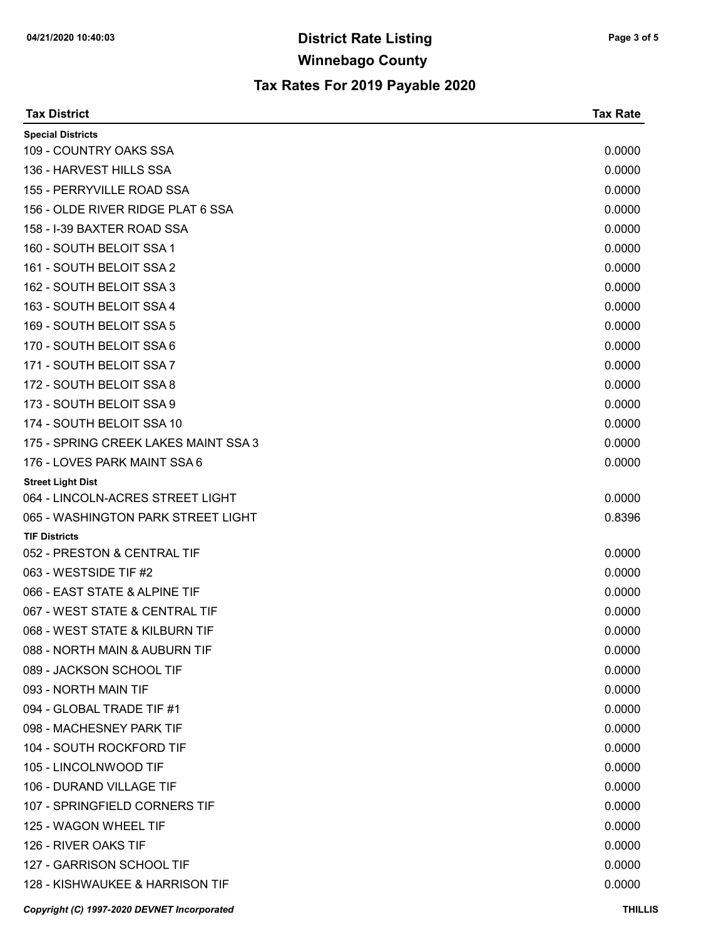| <b>Tax District</b>                         | <b>Tax Rate</b> |
|---------------------------------------------|-----------------|
| <b>Special Districts</b>                    |                 |
| 109 - COUNTRY OAKS SSA                      | 0.0000          |
| 136 - HARVEST HILLS SSA                     | 0.0000          |
| 155 - PERRYVILLE ROAD SSA                   | 0.0000          |
| 156 - OLDE RIVER RIDGE PLAT 6 SSA           | 0.0000          |
| 158 - I-39 BAXTER ROAD SSA                  | 0.0000          |
| 160 - SOUTH BELOIT SSA 1                    | 0.0000          |
| 161 - SOUTH BELOIT SSA 2                    | 0.0000          |
| 162 - SOUTH BELOIT SSA 3                    | 0.0000          |
| 163 - SOUTH BELOIT SSA 4                    | 0.0000          |
| 169 - SOUTH BELOIT SSA 5                    | 0.0000          |
| 170 - SOUTH BELOIT SSA 6                    | 0.0000          |
| 171 - SOUTH BELOIT SSA 7                    | 0.0000          |
| 172 - SOUTH BELOIT SSA 8                    | 0.0000          |
| 173 - SOUTH BELOIT SSA 9                    | 0.0000          |
| 174 - SOUTH BELOIT SSA 10                   | 0.0000          |
| 175 - SPRING CREEK LAKES MAINT SSA 3        | 0.0000          |
| 176 - LOVES PARK MAINT SSA 6                | 0.0000          |
| <b>Street Light Dist</b>                    |                 |
| 064 - LINCOLN-ACRES STREET LIGHT            | 0.0000          |
| 065 - WASHINGTON PARK STREET LIGHT          | 0.8396          |
| <b>TIF Districts</b>                        |                 |
| 052 - PRESTON & CENTRAL TIF                 | 0.0000          |
| 063 - WESTSIDE TIF #2                       | 0.0000          |
| 066 - EAST STATE & ALPINE TIF               | 0.0000          |
| 067 - WEST STATE & CENTRAL TIF              | 0.0000          |
| 068 - WEST STATE & KILBURN TIF              | 0.0000          |
| 088 - NORTH MAIN & AUBURN TIF               | 0.0000          |
| 089 - JACKSON SCHOOL TIF                    | 0.0000          |
| 093 - NORTH MAIN TIF                        | 0.0000          |
| 094 - GLOBAL TRADE TIF #1                   | 0.0000          |
| 098 - MACHESNEY PARK TIF                    | 0.0000          |
| 104 - SOUTH ROCKFORD TIF                    | 0.0000          |
| 105 - LINCOLNWOOD TIF                       | 0.0000          |
| 106 - DURAND VILLAGE TIF                    | 0.0000          |
| 107 - SPRINGFIELD CORNERS TIF               | 0.0000          |
| 125 - WAGON WHEEL TIF                       | 0.0000          |
| 126 - RIVER OAKS TIF                        | 0.0000          |
| 127 - GARRISON SCHOOL TIF                   | 0.0000          |
| 128 - KISHWAUKEE & HARRISON TIF             | 0.0000          |
| Copyright (C) 1997-2020 DEVNET Incorporated | <b>THILLIS</b>  |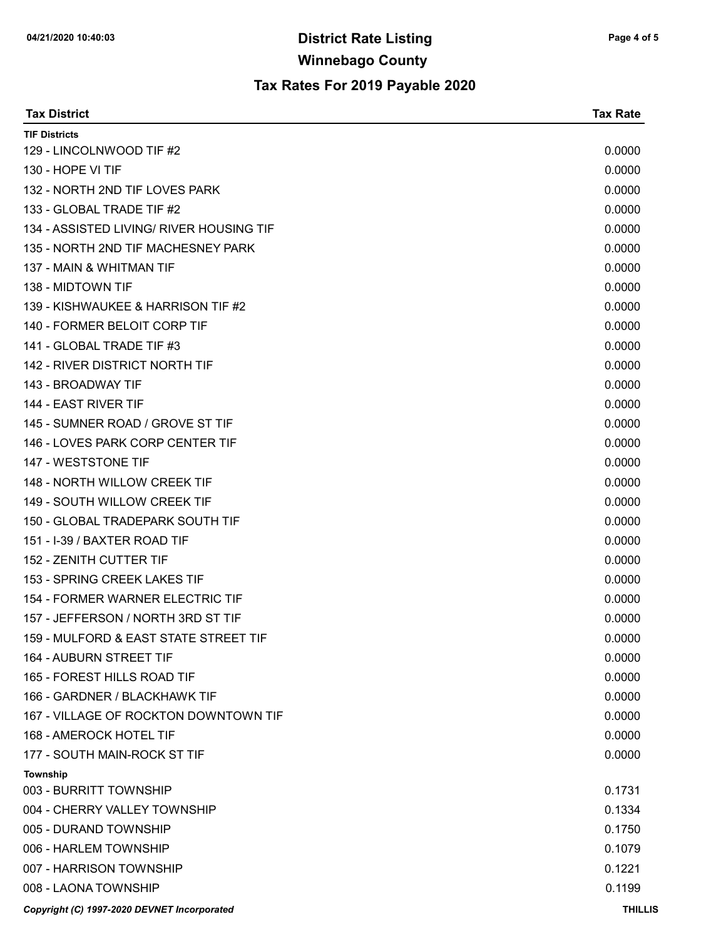| <b>Tax District</b>                         | <b>Tax Rate</b> |
|---------------------------------------------|-----------------|
| <b>TIF Districts</b>                        |                 |
| 129 - LINCOLNWOOD TIF #2                    | 0.0000          |
| 130 - HOPE VI TIF                           | 0.0000          |
| 132 - NORTH 2ND TIF LOVES PARK              | 0.0000          |
| 133 - GLOBAL TRADE TIF #2                   | 0.0000          |
| 134 - ASSISTED LIVING/ RIVER HOUSING TIF    | 0.0000          |
| 135 - NORTH 2ND TIF MACHESNEY PARK          | 0.0000          |
| 137 - MAIN & WHITMAN TIF                    | 0.0000          |
| 138 - MIDTOWN TIF                           | 0.0000          |
| 139 - KISHWAUKEE & HARRISON TIF #2          | 0.0000          |
| 140 - FORMER BELOIT CORP TIF                | 0.0000          |
| 141 - GLOBAL TRADE TIF #3                   | 0.0000          |
| 142 - RIVER DISTRICT NORTH TIF              | 0.0000          |
| 143 - BROADWAY TIF                          | 0.0000          |
| 144 - EAST RIVER TIF                        | 0.0000          |
| 145 - SUMNER ROAD / GROVE ST TIF            | 0.0000          |
| 146 - LOVES PARK CORP CENTER TIF            | 0.0000          |
| 147 - WESTSTONE TIF                         | 0.0000          |
| 148 - NORTH WILLOW CREEK TIF                | 0.0000          |
| 149 - SOUTH WILLOW CREEK TIF                | 0.0000          |
| 150 - GLOBAL TRADEPARK SOUTH TIF            | 0.0000          |
| 151 - I-39 / BAXTER ROAD TIF                | 0.0000          |
| 152 - ZENITH CUTTER TIF                     | 0.0000          |
| 153 - SPRING CREEK LAKES TIF                | 0.0000          |
| 154 - FORMER WARNER ELECTRIC TIF            | 0.0000          |
| 157 - JEFFERSON / NORTH 3RD ST TIF          | 0.0000          |
| 159 - MULFORD & EAST STATE STREET TIF       | 0.0000          |
| 164 - AUBURN STREET TIF                     | 0.0000          |
| 165 - FOREST HILLS ROAD TIF                 | 0.0000          |
| 166 - GARDNER / BLACKHAWK TIF               | 0.0000          |
| 167 - VILLAGE OF ROCKTON DOWNTOWN TIF       | 0.0000          |
| 168 - AMEROCK HOTEL TIF                     | 0.0000          |
| 177 - SOUTH MAIN-ROCK ST TIF                | 0.0000          |
| Township                                    |                 |
| 003 - BURRITT TOWNSHIP                      | 0.1731          |
| 004 - CHERRY VALLEY TOWNSHIP                | 0.1334          |
| 005 - DURAND TOWNSHIP                       | 0.1750          |
| 006 - HARLEM TOWNSHIP                       | 0.1079          |
| 007 - HARRISON TOWNSHIP                     | 0.1221          |
| 008 - LAONA TOWNSHIP                        | 0.1199          |
| Copyright (C) 1997-2020 DEVNET Incorporated | <b>THILLIS</b>  |